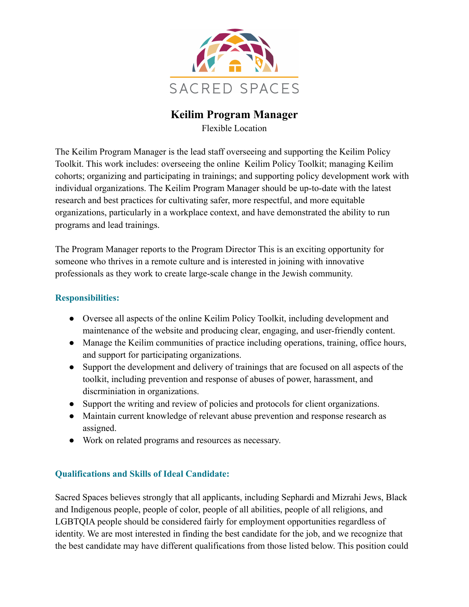

# **Keilim Program Manager**

Flexible Location

The Keilim Program Manager is the lead staff overseeing and supporting the Keilim Policy Toolkit. This work includes: overseeing the online Keilim Policy Toolkit; managing Keilim cohorts; organizing and participating in trainings; and supporting policy development work with individual organizations. The Keilim Program Manager should be up-to-date with the latest research and best practices for cultivating safer, more respectful, and more equitable organizations, particularly in a workplace context, and have demonstrated the ability to run programs and lead trainings.

The Program Manager reports to the Program Director This is an exciting opportunity for someone who thrives in a remote culture and is interested in joining with innovative professionals as they work to create large-scale change in the Jewish community.

## **Responsibilities:**

- Oversee all aspects of the online Keilim Policy Toolkit, including development and maintenance of the website and producing clear, engaging, and user-friendly content.
- Manage the Keilim communities of practice including operations, training, office hours, and support for participating organizations.
- Support the development and delivery of trainings that are focused on all aspects of the toolkit, including prevention and response of abuses of power, harassment, and discrminiation in organizations.
- Support the writing and review of policies and protocols for client organizations.
- Maintain current knowledge of relevant abuse prevention and response research as assigned.
- Work on related programs and resources as necessary.

## **Qualifications and Skills of Ideal Candidate:**

Sacred Spaces believes strongly that all applicants, including Sephardi and Mizrahi Jews, Black and Indigenous people, people of color, people of all abilities, people of all religions, and LGBTQIA people should be considered fairly for employment opportunities regardless of identity. We are most interested in finding the best candidate for the job, and we recognize that the best candidate may have different qualifications from those listed below. This position could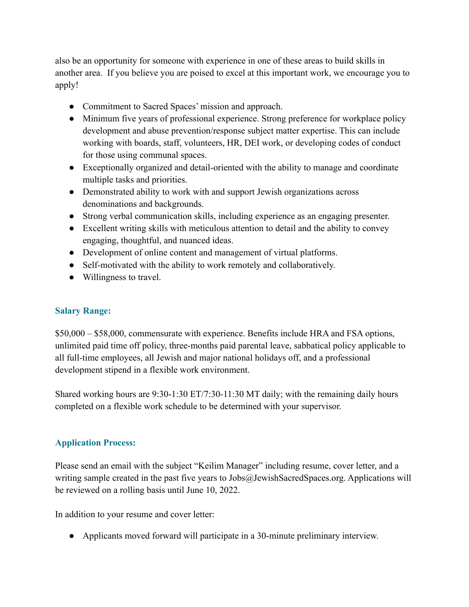also be an opportunity for someone with experience in one of these areas to build skills in another area. If you believe you are poised to excel at this important work, we encourage you to apply!

- Commitment to Sacred Spaces' mission and approach.
- Minimum five years of professional experience. Strong preference for workplace policy development and abuse prevention/response subject matter expertise. This can include working with boards, staff, volunteers, HR, DEI work, or developing codes of conduct for those using communal spaces.
- Exceptionally organized and detail-oriented with the ability to manage and coordinate multiple tasks and priorities.
- Demonstrated ability to work with and support Jewish organizations across denominations and backgrounds.
- Strong verbal communication skills, including experience as an engaging presenter.
- Excellent writing skills with meticulous attention to detail and the ability to convey engaging, thoughtful, and nuanced ideas.
- Development of online content and management of virtual platforms.
- Self-motivated with the ability to work remotely and collaboratively.
- Willingness to travel.

## **Salary Range:**

\$50,000 – \$58,000, commensurate with experience. Benefits include HRA and FSA options, unlimited paid time off policy, three-months paid parental leave, sabbatical policy applicable to all full-time employees, all Jewish and major national holidays off, and a professional development stipend in a flexible work environment.

Shared working hours are 9:30-1:30 ET/7:30-11:30 MT daily; with the remaining daily hours completed on a flexible work schedule to be determined with your supervisor.

## **Application Process:**

Please send an email with the subject "Keilim Manager" including resume, cover letter, and a writing sample created in the past five years to Jobs@JewishSacredSpaces.org. Applications will be reviewed on a rolling basis until June 10, 2022.

In addition to your resume and cover letter:

● Applicants moved forward will participate in a 30-minute preliminary interview.